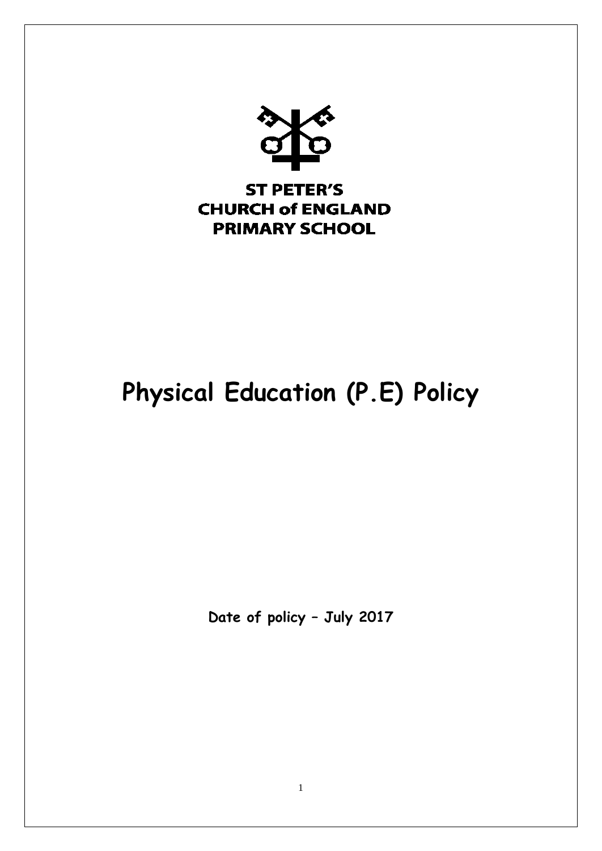

# **Physical Education (P.E) Policy**

**Date of policy – July 2017**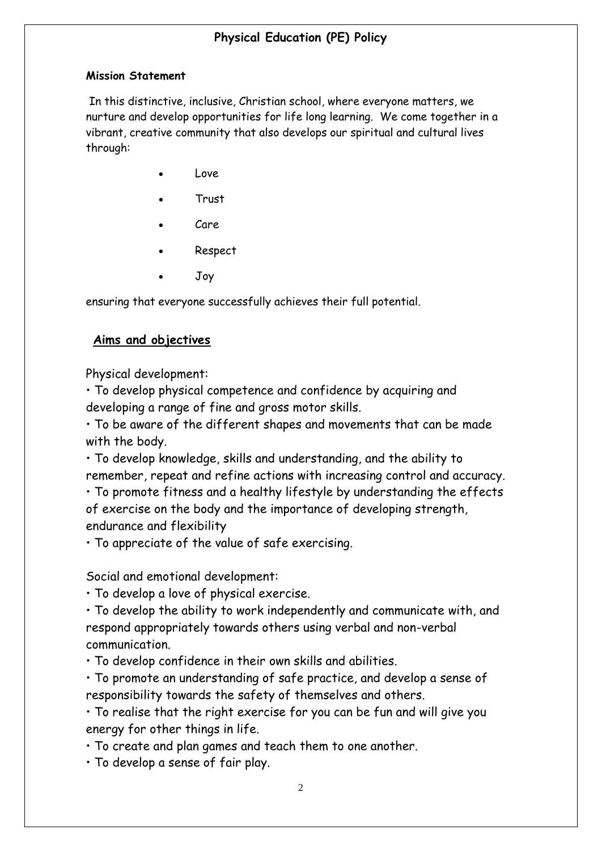# **Physical Education (PE) Policy**

#### **Mission Statement**

In this distinctive, inclusive, Christian school, where everyone matters, we nurture and develop opportunities for life long learning. We come together in a vibrant, creative community that also develops our spiritual and cultural lives through:

- Love
- Trust
- Care
- Respect
- Joy

ensuring that everyone successfully achieves their full potential.

#### **Aims and objectives**

Physical development:

• To develop physical competence and confidence by acquiring and developing a range of fine and gross motor skills.

• To be aware of the different shapes and movements that can be made with the body.

• To develop knowledge, skills and understanding, and the ability to remember, repeat and refine actions with increasing control and accuracy.

• To promote fitness and a healthy lifestyle by understanding the effects of exercise on the body and the importance of developing strength, endurance and flexibility

• To appreciate of the value of safe exercising.

Social and emotional development:

• To develop a love of physical exercise.

• To develop the ability to work independently and communicate with, and respond appropriately towards others using verbal and non-verbal communication.

• To develop confidence in their own skills and abilities.

• To promote an understanding of safe practice, and develop a sense of responsibility towards the safety of themselves and others.

• To realise that the right exercise for you can be fun and will give you energy for other things in life.

• To create and plan games and teach them to one another.

• To develop a sense of fair play.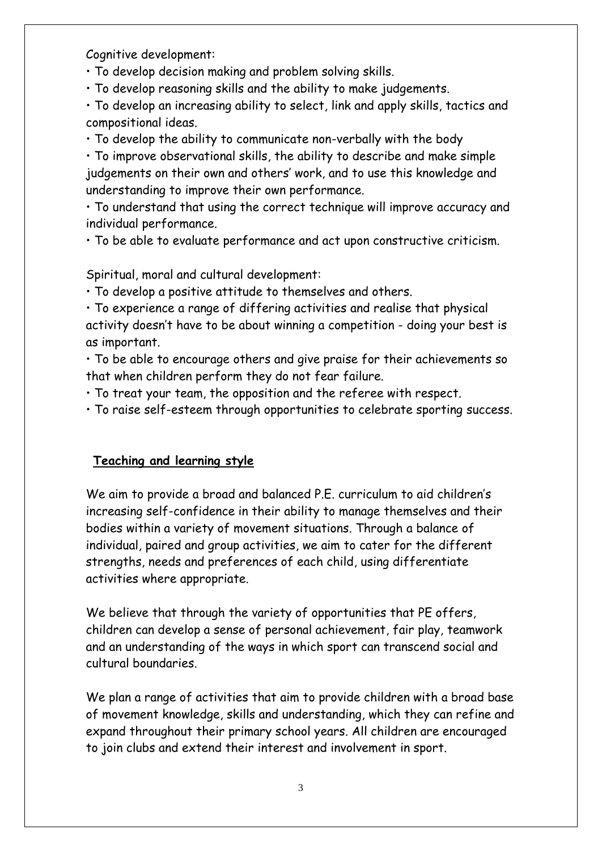Cognitive development:

• To develop decision making and problem solving skills.

• To develop reasoning skills and the ability to make judgements.

• To develop an increasing ability to select, link and apply skills, tactics and compositional ideas.

• To develop the ability to communicate non-verbally with the body

• To improve observational skills, the ability to describe and make simple judgements on their own and others' work, and to use this knowledge and understanding to improve their own performance.

• To understand that using the correct technique will improve accuracy and individual performance.

• To be able to evaluate performance and act upon constructive criticism.

Spiritual, moral and cultural development:

• To develop a positive attitude to themselves and others.

• To experience a range of differing activities and realise that physical activity doesn't have to be about winning a competition - doing your best is as important.

• To be able to encourage others and give praise for their achievements so that when children perform they do not fear failure.

• To treat your team, the opposition and the referee with respect.

• To raise self-esteem through opportunities to celebrate sporting success.

## **Teaching and learning style**

We aim to provide a broad and balanced P.E. curriculum to aid children's increasing self-confidence in their ability to manage themselves and their bodies within a variety of movement situations. Through a balance of individual, paired and group activities, we aim to cater for the different strengths, needs and preferences of each child, using differentiate activities where appropriate.

We believe that through the variety of opportunities that PE offers, children can develop a sense of personal achievement, fair play, teamwork and an understanding of the ways in which sport can transcend social and cultural boundaries.

We plan a range of activities that aim to provide children with a broad base of movement knowledge, skills and understanding, which they can refine and expand throughout their primary school years. All children are encouraged to join clubs and extend their interest and involvement in sport.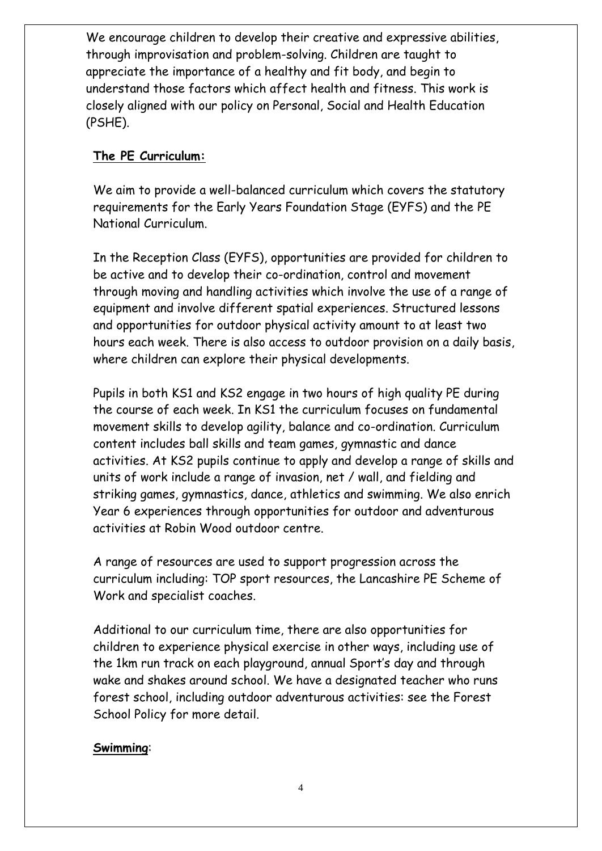We encourage children to develop their creative and expressive abilities, through improvisation and problem-solving. Children are taught to appreciate the importance of a healthy and fit body, and begin to understand those factors which affect health and fitness. This work is closely aligned with our policy on Personal, Social and Health Education (PSHE).

## **The PE Curriculum:**

We aim to provide a well-balanced curriculum which covers the statutory requirements for the Early Years Foundation Stage (EYFS) and the PE National Curriculum.

In the Reception Class (EYFS), opportunities are provided for children to be active and to develop their co-ordination, control and movement through moving and handling activities which involve the use of a range of equipment and involve different spatial experiences. Structured lessons and opportunities for outdoor physical activity amount to at least two hours each week. There is also access to outdoor provision on a daily basis, where children can explore their physical developments.

Pupils in both KS1 and KS2 engage in two hours of high quality PE during the course of each week. In KS1 the curriculum focuses on fundamental movement skills to develop agility, balance and co-ordination. Curriculum content includes ball skills and team games, gymnastic and dance activities. At KS2 pupils continue to apply and develop a range of skills and units of work include a range of invasion, net / wall, and fielding and striking games, gymnastics, dance, athletics and swimming. We also enrich Year 6 experiences through opportunities for outdoor and adventurous activities at Robin Wood outdoor centre.

A range of resources are used to support progression across the curriculum including: TOP sport resources, the Lancashire PE Scheme of Work and specialist coaches.

Additional to our curriculum time, there are also opportunities for children to experience physical exercise in other ways, including use of the 1km run track on each playground, annual Sport's day and through wake and shakes around school. We have a designated teacher who runs forest school, including outdoor adventurous activities: see the Forest School Policy for more detail.

## **Swimming**: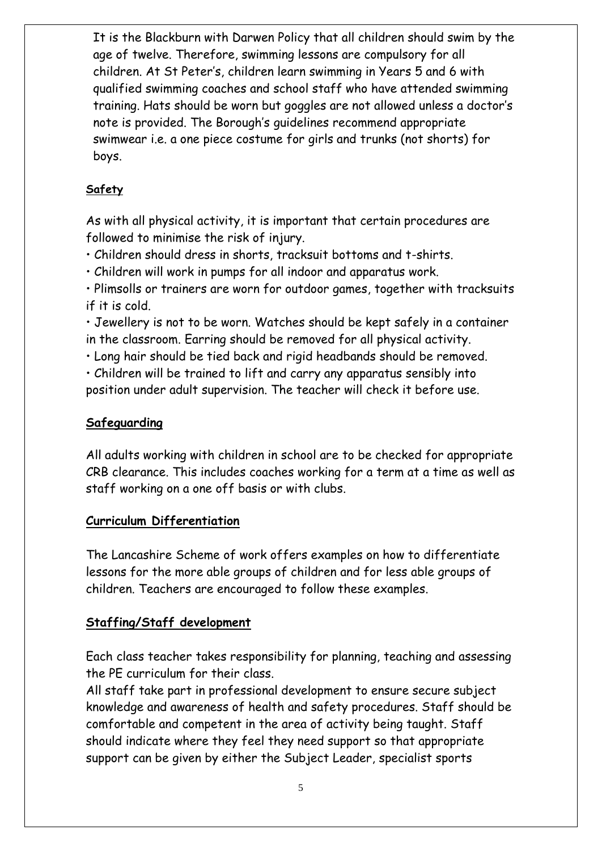It is the Blackburn with Darwen Policy that all children should swim by the age of twelve. Therefore, swimming lessons are compulsory for all children. At St Peter's, children learn swimming in Years 5 and 6 with qualified swimming coaches and school staff who have attended swimming training. Hats should be worn but goggles are not allowed unless a doctor's note is provided. The Borough's guidelines recommend appropriate swimwear i.e. a one piece costume for girls and trunks (not shorts) for boys.

# **Safety**

As with all physical activity, it is important that certain procedures are followed to minimise the risk of injury.

• Children should dress in shorts, tracksuit bottoms and t-shirts.

• Children will work in pumps for all indoor and apparatus work.

• Plimsolls or trainers are worn for outdoor games, together with tracksuits if it is cold.

• Jewellery is not to be worn. Watches should be kept safely in a container in the classroom. Earring should be removed for all physical activity.

• Long hair should be tied back and rigid headbands should be removed.

• Children will be trained to lift and carry any apparatus sensibly into position under adult supervision. The teacher will check it before use.

# **Safeguarding**

All adults working with children in school are to be checked for appropriate CRB clearance. This includes coaches working for a term at a time as well as staff working on a one off basis or with clubs.

## **Curriculum Differentiation**

The Lancashire Scheme of work offers examples on how to differentiate lessons for the more able groups of children and for less able groups of children. Teachers are encouraged to follow these examples.

## **Staffing/Staff development**

Each class teacher takes responsibility for planning, teaching and assessing the PE curriculum for their class.

All staff take part in professional development to ensure secure subject knowledge and awareness of health and safety procedures. Staff should be comfortable and competent in the area of activity being taught. Staff should indicate where they feel they need support so that appropriate support can be given by either the Subject Leader, specialist sports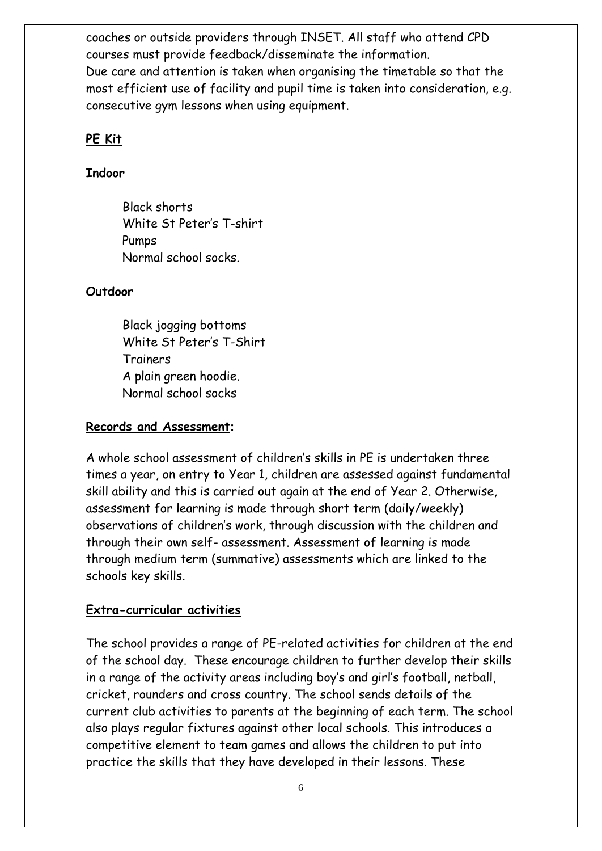coaches or outside providers through INSET. All staff who attend CPD courses must provide feedback/disseminate the information. Due care and attention is taken when organising the timetable so that the most efficient use of facility and pupil time is taken into consideration, e.g. consecutive gym lessons when using equipment.

## **PE Kit**

## **Indoor**

Black shorts White St Peter's T-shirt Pumps Normal school socks.

## **Outdoor**

Black jogging bottoms White St Peter's T-Shirt Trainers A plain green hoodie. Normal school socks

#### **Records and Assessment:**

A whole school assessment of children's skills in PE is undertaken three times a year, on entry to Year 1, children are assessed against fundamental skill ability and this is carried out again at the end of Year 2. Otherwise, assessment for learning is made through short term (daily/weekly) observations of children's work, through discussion with the children and through their own self- assessment. Assessment of learning is made through medium term (summative) assessments which are linked to the schools key skills.

#### **Extra-curricular activities**

The school provides a range of PE-related activities for children at the end of the school day. These encourage children to further develop their skills in a range of the activity areas including boy's and girl's football, netball, cricket, rounders and cross country. The school sends details of the current club activities to parents at the beginning of each term. The school also plays regular fixtures against other local schools. This introduces a competitive element to team games and allows the children to put into practice the skills that they have developed in their lessons. These